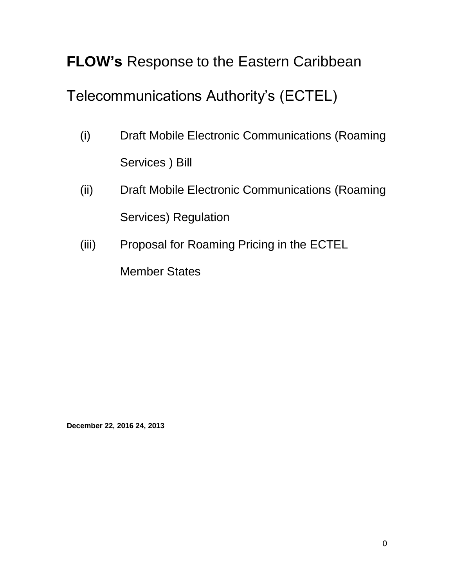# **FLOW's** Response to the Eastern Caribbean

# Telecommunications Authority's (ECTEL)

- (i) Draft Mobile Electronic Communications (Roaming Services ) Bill
- (ii) Draft Mobile Electronic Communications (Roaming Services) Regulation
- (iii) Proposal for Roaming Pricing in the ECTEL

Member States

**December 22, 2016 24, 2013**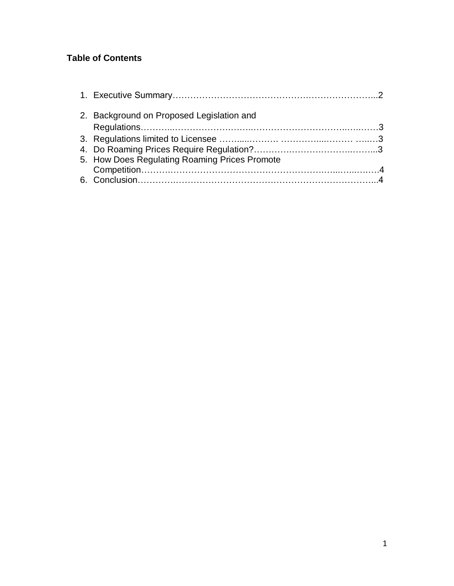## **Table of Contents**

| 2. Background on Proposed Legislation and     |  |
|-----------------------------------------------|--|
|                                               |  |
|                                               |  |
|                                               |  |
| 5. How Does Regulating Roaming Prices Promote |  |
|                                               |  |
|                                               |  |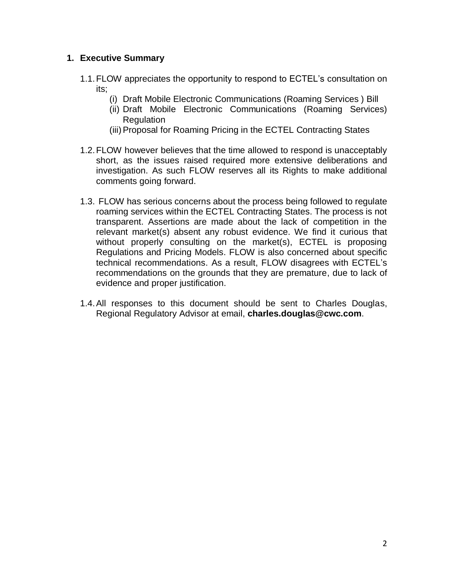### **1. Executive Summary**

- 1.1.FLOW appreciates the opportunity to respond to ECTEL's consultation on its;
	- (i) Draft Mobile Electronic Communications (Roaming Services ) Bill
	- (ii) Draft Mobile Electronic Communications (Roaming Services) Regulation
	- (iii) Proposal for Roaming Pricing in the ECTEL Contracting States
- 1.2.FLOW however believes that the time allowed to respond is unacceptably short, as the issues raised required more extensive deliberations and investigation. As such FLOW reserves all its Rights to make additional comments going forward.
- 1.3. FLOW has serious concerns about the process being followed to regulate roaming services within the ECTEL Contracting States. The process is not transparent. Assertions are made about the lack of competition in the relevant market(s) absent any robust evidence. We find it curious that without properly consulting on the market(s), ECTEL is proposing Regulations and Pricing Models. FLOW is also concerned about specific technical recommendations. As a result, FLOW disagrees with ECTEL's recommendations on the grounds that they are premature, due to lack of evidence and proper justification.
- 1.4.All responses to this document should be sent to Charles Douglas, Regional Regulatory Advisor at email, **charles.douglas@cwc.com**.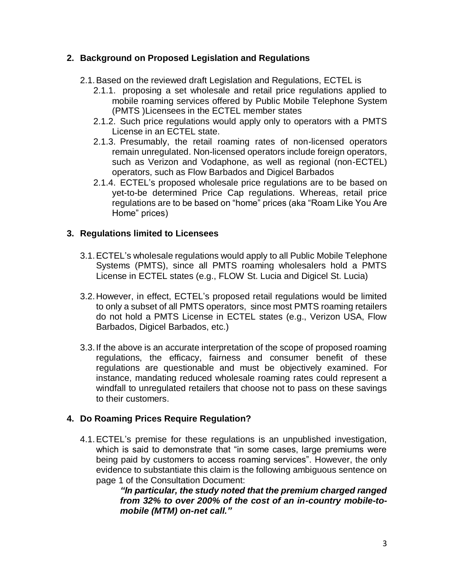### **2. Background on Proposed Legislation and Regulations**

- 2.1.Based on the reviewed draft Legislation and Regulations, ECTEL is
	- 2.1.1. proposing a set wholesale and retail price regulations applied to mobile roaming services offered by Public Mobile Telephone System (PMTS )Licensees in the ECTEL member states
	- 2.1.2. Such price regulations would apply only to operators with a PMTS License in an ECTEL state.
	- 2.1.3. Presumably, the retail roaming rates of non-licensed operators remain unregulated. Non-licensed operators include foreign operators, such as Verizon and Vodaphone, as well as regional (non-ECTEL) operators, such as Flow Barbados and Digicel Barbados
	- 2.1.4. ECTEL's proposed wholesale price regulations are to be based on yet-to-be determined Price Cap regulations. Whereas, retail price regulations are to be based on "home" prices (aka "Roam Like You Are Home" prices)

### **3. Regulations limited to Licensees**

- 3.1.ECTEL's wholesale regulations would apply to all Public Mobile Telephone Systems (PMTS), since all PMTS roaming wholesalers hold a PMTS License in ECTEL states (e.g., FLOW St. Lucia and Digicel St. Lucia)
- 3.2.However, in effect, ECTEL's proposed retail regulations would be limited to only a subset of all PMTS operators, since most PMTS roaming retailers do not hold a PMTS License in ECTEL states (e.g., Verizon USA, Flow Barbados, Digicel Barbados, etc.)
- 3.3.If the above is an accurate interpretation of the scope of proposed roaming regulations, the efficacy, fairness and consumer benefit of these regulations are questionable and must be objectively examined. For instance, mandating reduced wholesale roaming rates could represent a windfall to unregulated retailers that choose not to pass on these savings to their customers.

### **4. Do Roaming Prices Require Regulation?**

4.1.ECTEL's premise for these regulations is an unpublished investigation, which is said to demonstrate that "in some cases, large premiums were being paid by customers to access roaming services". However, the only evidence to substantiate this claim is the following ambiguous sentence on page 1 of the Consultation Document:

*"In particular, the study noted that the premium charged ranged from 32% to over 200% of the cost of an in-country mobile-tomobile (MTM) on-net call."*